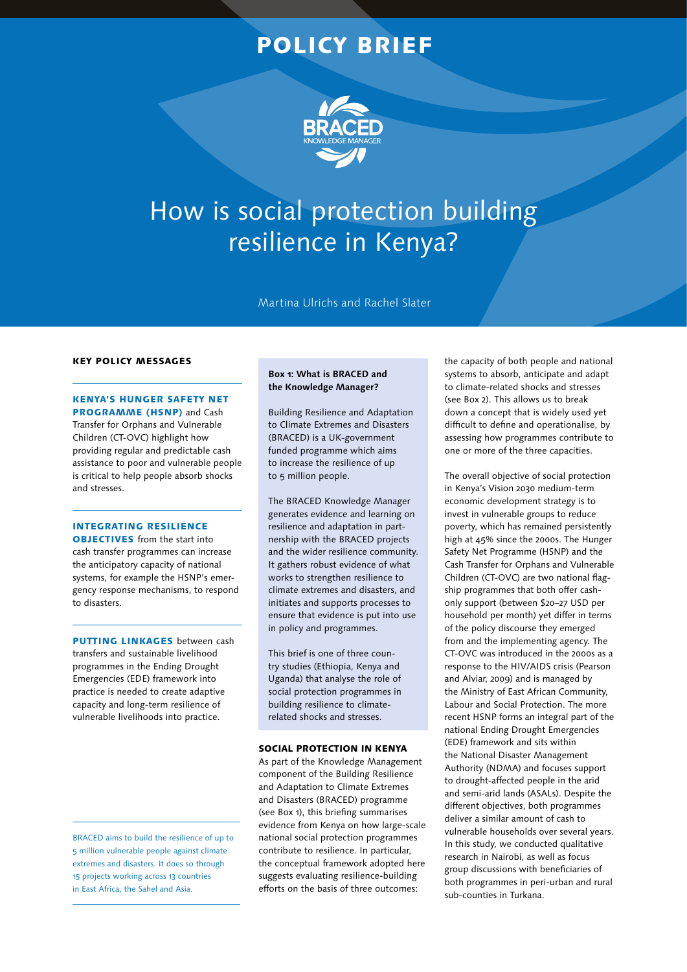# POLICY BRIEF



# How is social protection building resilience in Kenya?

Martina Ulrichs and Rachel Slater

#### KEY POLICY MESSAGES

## KENYA'S HUNGER SAFETY NET PROGRAMME (HSNP) and Cash

Transfer for Orphans and Vulnerable Children (CT-OVC) highlight how providing regular and predictable cash assistance to poor and vulnerable people is critical to help people absorb shocks and stresses.

### INTEGRATING RESILIENCE

OBJECTIVES from the start into cash transfer programmes can increase the anticipatory capacity of national systems, for example the HSNP's emergency response mechanisms, to respond to disasters.

**PUTTING LINKAGES** between cash transfers and sustainable livelihood programmes in the Ending Drought Emergencies (EDE) framework into practice is needed to create adaptive capacity and long-term resilience of vulnerable livelihoods into practice.

BRACED aims to build the resilience of up to 5 million vulnerable people against climate extremes and disasters. It does so through 15 projects working across 13 countries in East Africa, the Sahel and Asia.

#### **Box 1: What is BRACED and the Knowledge Manager?**

Building Resilience and Adaptation to Climate Extremes and Disasters (BRACED) is a UK-government funded programme which aims to increase the resilience of up to 5 million people.

The BRACED Knowledge Manager generates evidence and learning on resilience and adaptation in partnership with the BRACED projects and the wider resilience community. It gathers robust evidence of what works to strengthen resilience to climate extremes and disasters, and initiates and supports processes to ensure that evidence is put into use in policy and programmes.

This brief is one of three country studies (Ethiopia, Kenya and Uganda) that analyse the role of social protection programmes in building resilience to climaterelated shocks and stresses.

#### SOCIAL PROTECTION IN KENYA

As part of the Knowledge Management component of the Building Resilience and Adaptation to Climate Extremes and Disasters (BRACED) programme (see Box 1), this briefing summarises evidence from Kenya on how large-scale national social protection programmes contribute to resilience. In particular, the conceptual framework adopted here suggests evaluating resilience-building efforts on the basis of three outcomes:

the capacity of both people and national systems to absorb, anticipate and adapt to climate-related shocks and stresses (see Box 2). This allows us to break down a concept that is widely used yet difficult to define and operationalise, by assessing how programmes contribute to one or more of the three capacities.

The overall objective of social protection in Kenya's Vision 2030 medium-term economic development strategy is to invest in vulnerable groups to reduce poverty, which has remained persistently high at 45% since the 2000s. The Hunger Safety Net Programme (HSNP) and the Cash Transfer for Orphans and Vulnerable Children (CT-OVC) are two national flagship programmes that both offer cashonly support (between \$20–27 USD per household per month) yet differ in terms of the policy discourse they emerged from and the implementing agency. The CT-OVC was introduced in the 2000s as a response to the HIV/AIDS crisis (Pearson and Alviar, 2009) and is managed by the Ministry of East African Community, Labour and Social Protection. The more recent HSNP forms an integral part of the national Ending Drought Emergencies (EDE) framework and sits within the National Disaster Management Authority (NDMA) and focuses support to drought-affected people in the arid and semi-arid lands (ASALs). Despite the different objectives, both programmes deliver a similar amount of cash to vulnerable households over several years. In this study, we conducted qualitative research in Nairobi, as well as focus group discussions with beneficiaries of both programmes in peri-urban and rural sub-counties in Turkana.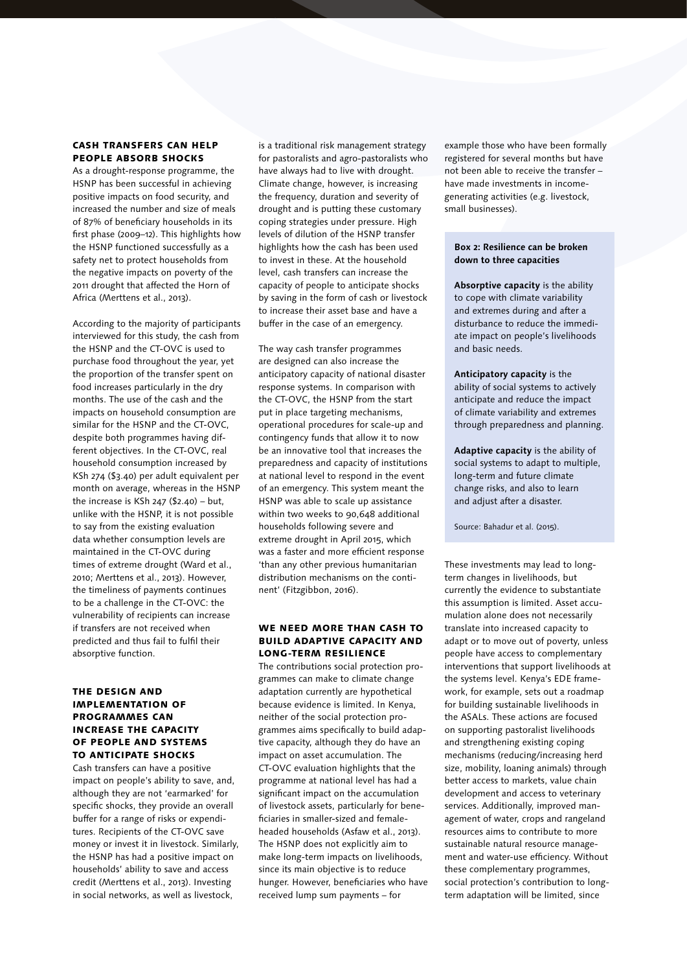#### CASH TRANSFERS CAN HELP PEOPLE ABSORB SHOCKS

As a drought-response programme, the HSNP has been successful in achieving positive impacts on food security, and increased the number and size of meals of 87% of beneficiary households in its first phase (2009–12). This highlights how the HSNP functioned successfully as a safety net to protect households from the negative impacts on poverty of the 2011 drought that affected the Horn of Africa (Merttens et al., 2013).

According to the majority of participants interviewed for this study, the cash from the HSNP and the CT-OVC is used to purchase food throughout the year, yet the proportion of the transfer spent on food increases particularly in the dry months. The use of the cash and the impacts on household consumption are similar for the HSNP and the CT-OVC, despite both programmes having different objectives. In the CT-OVC, real household consumption increased by KSh 274 (\$3.40) per adult equivalent per month on average, whereas in the HSNP the increase is KSh 247 (\$2.40) – but, unlike with the HSNP, it is not possible to say from the existing evaluation data whether consumption levels are maintained in the CT-OVC during times of extreme drought (Ward et al., 2010; Merttens et al., 2013). However, the timeliness of payments continues to be a challenge in the CT-OVC: the vulnerability of recipients can increase if transfers are not received when predicted and thus fail to fulfil their absorptive function.

#### THE DESIGN AND IMPLEMENTATION OF PROGRAMMES CAN INCREASE THE CAPACITY OF PEOPLE AND SYSTEMS TO ANTICIPATE SHOCKS

Cash transfers can have a positive impact on people's ability to save, and, although they are not 'earmarked' for specific shocks, they provide an overall buffer for a range of risks or expenditures. Recipients of the CT-OVC save money or invest it in livestock. Similarly, the HSNP has had a positive impact on households' ability to save and access credit (Merttens et al., 2013). Investing in social networks, as well as livestock,

is a traditional risk management strategy for pastoralists and agro-pastoralists who have always had to live with drought. Climate change, however, is increasing the frequency, duration and severity of drought and is putting these customary coping strategies under pressure. High levels of dilution of the HSNP transfer highlights how the cash has been used to invest in these. At the household level, cash transfers can increase the capacity of people to anticipate shocks by saving in the form of cash or livestock to increase their asset base and have a buffer in the case of an emergency.

The way cash transfer programmes are designed can also increase the anticipatory capacity of national disaster response systems. In comparison with the CT-OVC, the HSNP from the start put in place targeting mechanisms, operational procedures for scale-up and contingency funds that allow it to now be an innovative tool that increases the preparedness and capacity of institutions at national level to respond in the event of an emergency. This system meant the HSNP was able to scale up assistance within two weeks to 90,648 additional households following severe and extreme drought in April 2015, which was a faster and more efficient response 'than any other previous humanitarian distribution mechanisms on the continent' (Fitzgibbon, 2016).

#### WE NEED MORE THAN CASH TO BUILD ADAPTIVE CAPACITY AND LONG-TERM RESILIENCE

The contributions social protection programmes can make to climate change adaptation currently are hypothetical because evidence is limited. In Kenya, neither of the social protection programmes aims specifically to build adaptive capacity, although they do have an impact on asset accumulation. The CT-OVC evaluation highlights that the programme at national level has had a significant impact on the accumulation of livestock assets, particularly for beneficiaries in smaller-sized and femaleheaded households (Asfaw et al., 2013). The HSNP does not explicitly aim to make long-term impacts on livelihoods, since its main objective is to reduce hunger. However, beneficiaries who have received lump sum payments – for

example those who have been formally registered for several months but have not been able to receive the transfer – have made investments in incomegenerating activities (e.g. livestock, small businesses).

#### **Box 2: Resilience can be broken down to three capacities**

**Absorptive capacity** is the ability to cope with climate variability and extremes during and after a disturbance to reduce the immediate impact on people's livelihoods and basic needs.

**Anticipatory capacity** is the ability of social systems to actively anticipate and reduce the impact of climate variability and extremes through preparedness and planning.

**Adaptive capacity** is the ability of social systems to adapt to multiple, long-term and future climate change risks, and also to learn and adjust after a disaster.

Source: Bahadur et al. (2015).

These investments may lead to longterm changes in livelihoods, but currently the evidence to substantiate this assumption is limited. Asset accumulation alone does not necessarily translate into increased capacity to adapt or to move out of poverty, unless people have access to complementary interventions that support livelihoods at the systems level. Kenya's EDE framework, for example, sets out a roadmap for building sustainable livelihoods in the ASALs. These actions are focused on supporting pastoralist livelihoods and strengthening existing coping mechanisms (reducing/increasing herd size, mobility, loaning animals) through better access to markets, value chain development and access to veterinary services. Additionally, improved management of water, crops and rangeland resources aims to contribute to more sustainable natural resource management and water-use efficiency. Without these complementary programmes, social protection's contribution to longterm adaptation will be limited, since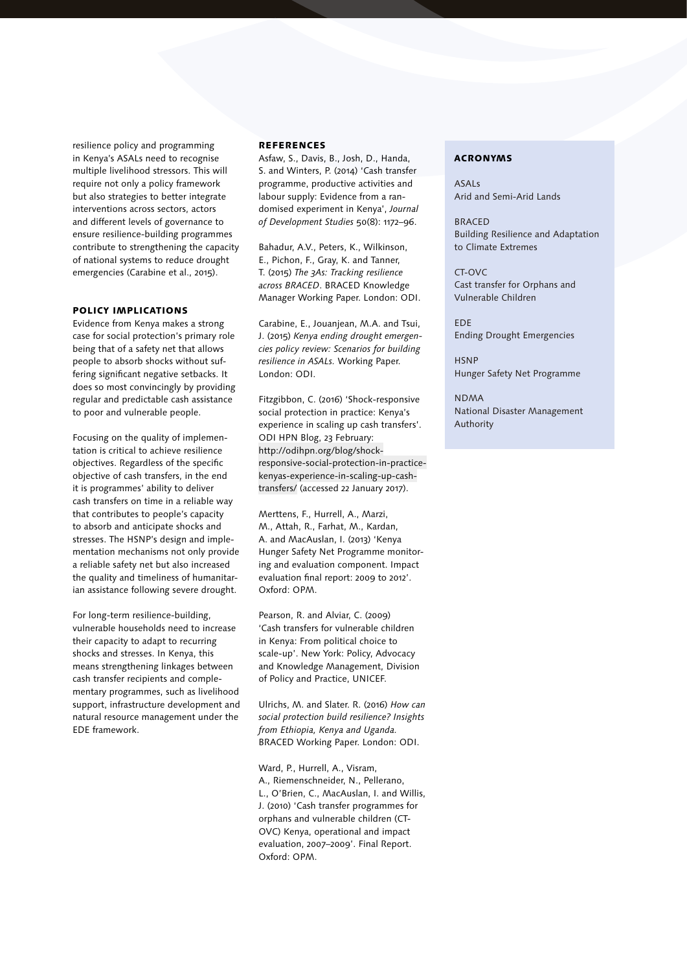resilience policy and programming in Kenya's ASALs need to recognise multiple livelihood stressors. This will require not only a policy framework but also strategies to better integrate interventions across sectors, actors and different levels of governance to ensure resilience-building programmes contribute to strengthening the capacity of national systems to reduce drought emergencies (Carabine et al., 2015).

#### POLICY IMPLICATIONS

Evidence from Kenya makes a strong case for social protection's primary role being that of a safety net that allows people to absorb shocks without suffering significant negative setbacks. It does so most convincingly by providing regular and predictable cash assistance to poor and vulnerable people.

Focusing on the quality of implementation is critical to achieve resilience objectives. Regardless of the specific objective of cash transfers, in the end it is programmes' ability to deliver cash transfers on time in a reliable way that contributes to people's capacity to absorb and anticipate shocks and stresses. The HSNP's design and implementation mechanisms not only provide a reliable safety net but also increased the quality and timeliness of humanitarian assistance following severe drought.

For long-term resilience-building, vulnerable households need to increase their capacity to adapt to recurring shocks and stresses. In Kenya, this means strengthening linkages between cash transfer recipients and complementary programmes, such as livelihood support, infrastructure development and natural resource management under the EDE framework.

#### **REFERENCES**

Asfaw, S., Davis, B., Josh, D., Handa, S. and Winters, P. (2014) 'Cash transfer programme, productive activities and labour supply: Evidence from a randomised experiment in Kenya', *Journal of Development Studies* 50(8): 1172–96.

Bahadur, A.V., Peters, K., Wilkinson, E., Pichon, F., Gray, K. and Tanner, T. (2015) *The 3As: Tracking resilience across BRACED*. BRACED Knowledge Manager Working Paper. London: ODI.

Carabine, E., Jouanjean, M.A. and Tsui, J. (2015) *Kenya ending drought emergencies policy review: Scenarios for building resilience in ASALs.* Working Paper. London: ODI.

Fitzgibbon, C. (2016) 'Shock-responsive social protection in practice: Kenya's experience in scaling up cash transfers'. ODI HPN Blog, 23 February: [http://odihpn.org/blog/shock](http://odihpn.org/blog/shock-responsive-social-protection-in-practice-kenyas-experience-in-scaling-up-cash-transfers/)responsive-social-protection-in-practicekenyas-experience-in-scaling-up-cashtransfers/ (accessed 22 January 2017).

Merttens, F., Hurrell, A., Marzi, M., Attah, R., Farhat, M., Kardan, A. and MacAuslan, I. (2013) 'Kenya Hunger Safety Net Programme monitoring and evaluation component. Impact evaluation final report: 2009 to 2012'. Oxford: OPM.

Pearson, R. and Alviar, C. (2009) 'Cash transfers for vulnerable children in Kenya: From political choice to scale-up'. New York: Policy, Advocacy and Knowledge Management, Division of Policy and Practice, UNICEF.

Ulrichs, M. and Slater. R. (2016) *How can social protection build resilience? Insights from Ethiopia, Kenya and Uganda.*  BRACED Working Paper. London: ODI.

Ward, P., Hurrell, A., Visram, A., Riemenschneider, N., Pellerano, L., O'Brien, C., MacAuslan, I. and Willis, J. (2010) 'Cash transfer programmes for orphans and vulnerable children (CT-OVC) Kenya, operational and impact evaluation, 2007–2009'. Final Report. Oxford: OPM.

#### ACRONYMS

ASALs Arid and Semi-Arid Lands

BRACED Building Resilience and Adaptation to Climate Extremes

 $CT-ONC$ Cast transfer for Orphans and Vulnerable Children

EDE Ending Drought Emergencies

**HSNP** Hunger Safety Net Programme

NDMA National Disaster Management Authority